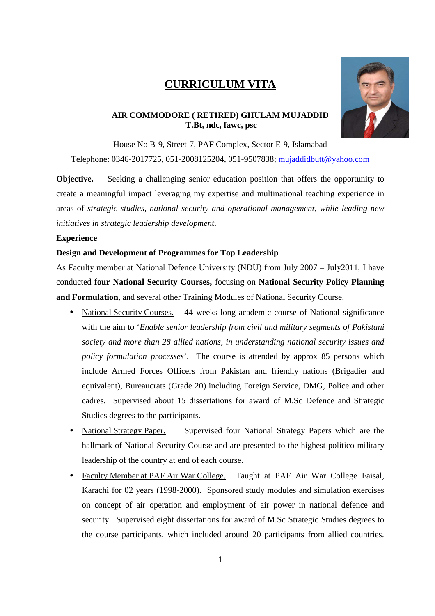# **CURRICULUM VITA**



## **AIR COMMODORE ( RETIRED) GHULAM MUJADDID T.Bt, ndc, fawc, psc**

House No B-9, Street-7, PAF Complex, Sector E-9, Islamabad

Telephone: 0346-2017725, 051-2008125204, 051-9507838; mujaddidbutt@yahoo.com

**Objective.** Seeking a challenging senior education position that offers the opportunity to create a meaningful impact leveraging my expertise and multinational teaching experience in areas of *strategic studies, national security and operational management, while leading new initiatives in strategic leadership development*.

## **Experience**

## **Design and Development of Programmes for Top Leadership**

As Faculty member at National Defence University (NDU) from July 2007 – July2011, I have conducted **four National Security Courses,** focusing on **National Security Policy Planning and Formulation,** and several other Training Modules of National Security Course.

- National Security Courses. 44 weeks-long academic course of National significance with the aim to '*Enable senior leadership from civil and military segments of Pakistani society and more than 28 allied nations, in understanding national security issues and policy formulation processes*'. The course is attended by approx 85 persons which include Armed Forces Officers from Pakistan and friendly nations (Brigadier and equivalent), Bureaucrats (Grade 20) including Foreign Service, DMG, Police and other cadres. Supervised about 15 dissertations for award of M.Sc Defence and Strategic Studies degrees to the participants.
- National Strategy Paper. Supervised four National Strategy Papers which are the hallmark of National Security Course and are presented to the highest politico-military leadership of the country at end of each course.
- Faculty Member at PAF Air War College. Taught at PAF Air War College Faisal, Karachi for 02 years (1998-2000). Sponsored study modules and simulation exercises on concept of air operation and employment of air power in national defence and security. Supervised eight dissertations for award of M.Sc Strategic Studies degrees to the course participants, which included around 20 participants from allied countries.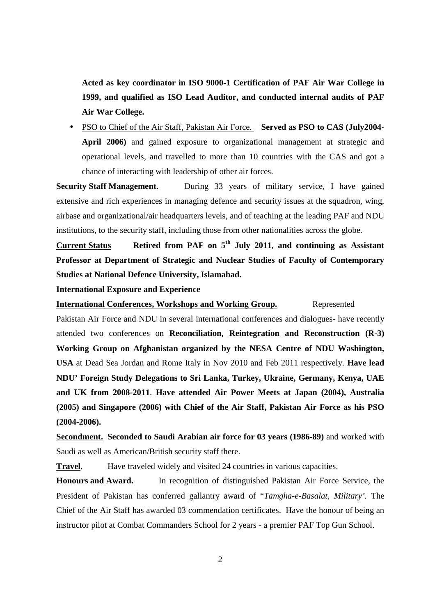**Acted as key coordinator in ISO 9000-1 Certification of PAF Air War College in 1999, and qualified as ISO Lead Auditor, and conducted internal audits of PAF Air War College.** 

• PSO to Chief of the Air Staff, Pakistan Air Force. **Served as PSO to CAS (July2004- April 2006)** and gained exposure to organizational management at strategic and operational levels, and travelled to more than 10 countries with the CAS and got a chance of interacting with leadership of other air forces.

**Security Staff Management.** During 33 years of military service, I have gained extensive and rich experiences in managing defence and security issues at the squadron, wing, airbase and organizational/air headquarters levels, and of teaching at the leading PAF and NDU institutions, to the security staff, including those from other nationalities across the globe.

**Current Status Retired from PAF on 5th July 2011, and continuing as Assistant Professor at Department of Strategic and Nuclear Studies of Faculty of Contemporary Studies at National Defence University, Islamabad.** 

**International Exposure and Experience** 

**International Conferences, Workshops and Working Group.** Represented

Pakistan Air Force and NDU in several international conferences and dialogues- have recently attended two conferences on **Reconciliation, Reintegration and Reconstruction (R-3) Working Group on Afghanistan organized by the NESA Centre of NDU Washington, USA** at Dead Sea Jordan and Rome Italy in Nov 2010 and Feb 2011 respectively. **Have lead NDU' Foreign Study Delegations to Sri Lanka, Turkey, Ukraine, Germany, Kenya, UAE and UK from 2008-2011**. **Have attended Air Power Meets at Japan (2004), Australia (2005) and Singapore (2006) with Chief of the Air Staff, Pakistan Air Force as his PSO (2004-2006).** 

**Secondment. Seconded to Saudi Arabian air force for 03 years (1986-89)** and worked with Saudi as well as American/British security staff there.

**Travel.** Have traveled widely and visited 24 countries in various capacities.

**Honours and Award.** In recognition of distinguished Pakistan Air Force Service, the President of Pakistan has conferred gallantry award of "*Tamgha-e-Basalat, Military'.* The Chief of the Air Staff has awarded 03 commendation certificates. Have the honour of being an instructor pilot at Combat Commanders School for 2 years - a premier PAF Top Gun School.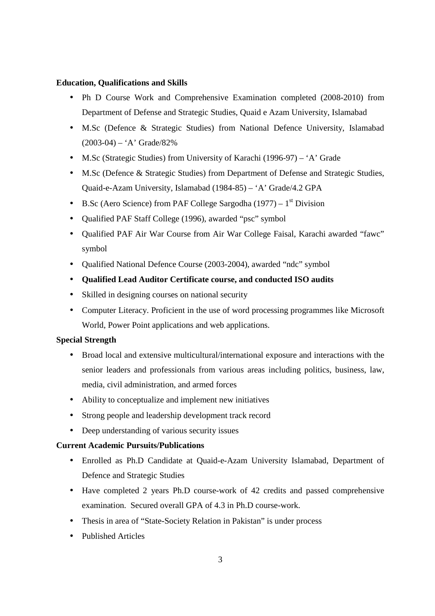#### **Education, Qualifications and Skills**

- Ph D Course Work and Comprehensive Examination completed (2008-2010) from Department of Defense and Strategic Studies, Quaid e Azam University, Islamabad
- M.Sc (Defence & Strategic Studies) from National Defence University, Islamabad  $(2003-04) - A'$  Grade/82%
- M.Sc (Strategic Studies) from University of Karachi (1996-97) 'A' Grade
- M.Sc (Defence & Strategic Studies) from Department of Defense and Strategic Studies, Quaid-e-Azam University, Islamabad (1984-85) – 'A' Grade/4.2 GPA
- B.Sc (Aero Science) from PAF College Sargodha (1977)  $1<sup>st</sup>$  Division
- Qualified PAF Staff College (1996), awarded "psc" symbol
- Qualified PAF Air War Course from Air War College Faisal, Karachi awarded "fawc" symbol
- Qualified National Defence Course (2003-2004), awarded "ndc" symbol
- **Qualified Lead Auditor Certificate course, and conducted ISO audits**
- Skilled in designing courses on national security
- Computer Literacy. Proficient in the use of word processing programmes like Microsoft World, Power Point applications and web applications.

## **Special Strength**

- Broad local and extensive multicultural/international exposure and interactions with the senior leaders and professionals from various areas including politics, business, law, media, civil administration, and armed forces
- Ability to conceptualize and implement new initiatives
- Strong people and leadership development track record
- Deep understanding of various security issues

# **Current Academic Pursuits/Publications**

- Enrolled as Ph.D Candidate at Quaid-e-Azam University Islamabad, Department of Defence and Strategic Studies
- Have completed 2 years Ph.D course-work of 42 credits and passed comprehensive examination. Secured overall GPA of 4.3 in Ph.D course-work.
- Thesis in area of "State-Society Relation in Pakistan" is under process
- Published Articles